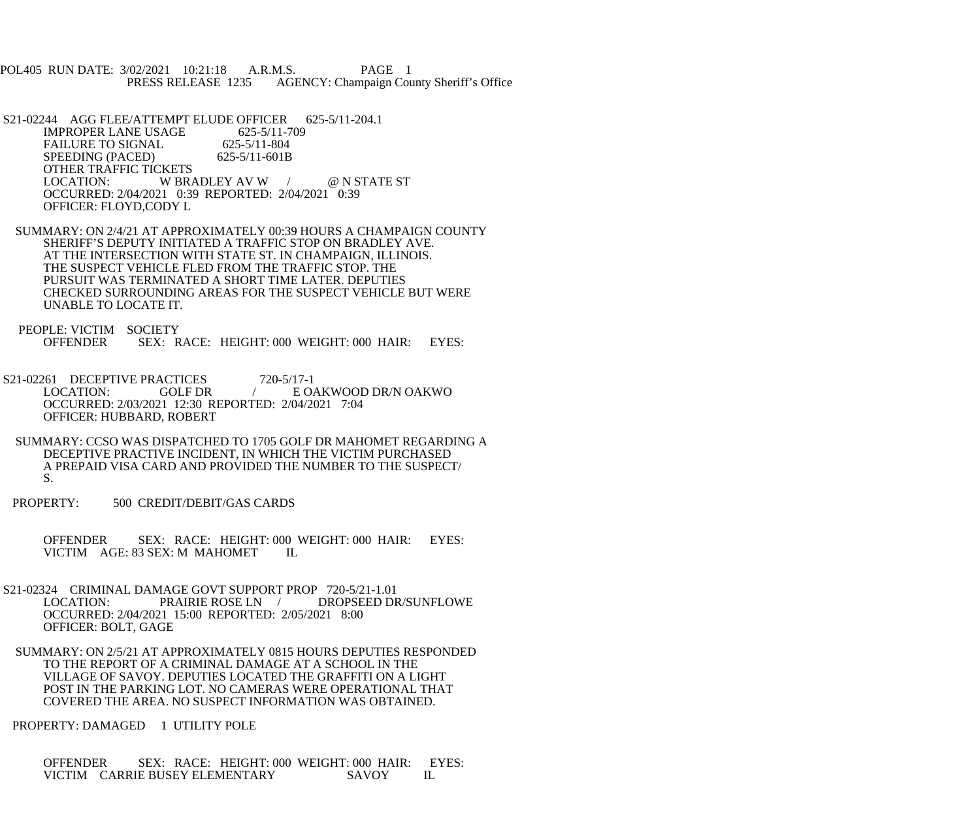POL405 RUN DATE: 3/02/2021 10:21:18 A.R.M.S. PAGE 1 PRESS RELEASE 1235 AGENCY: Champaign County Sheriff's Office

S21-02244 AGG FLEE/ATTEMPT ELUDE OFFICER 625-5/11-204.1<br>IMPROPER LANE USAGE 625-5/11-709 IMPROPER LANE USAGE 625-5/11-7<br>FAILURE TO SIGNAL 625-5/11-804 FAILURE TO SIGNAL 625-5/11-804<br>SPEEDING (PACED) 625-5/11-601B SPEEDING (PACED) OTHER TRAFFIC TICKETS LOCATION: W BRADLEY AV W / @ N STATE ST OCCURRED: 2/04/2021 0:39 REPORTED: 2/04/2021 0:39 OFFICER: FLOYD,CODY L

 SUMMARY: ON 2/4/21 AT APPROXIMATELY 00:39 HOURS A CHAMPAIGN COUNTY SHERIFF'S DEPUTY INITIATED A TRAFFIC STOP ON BRADLEY AVE. AT THE INTERSECTION WITH STATE ST. IN CHAMPAIGN, ILLINOIS. THE SUSPECT VEHICLE FLED FROM THE TRAFFIC STOP. THE PURSUIT WAS TERMINATED A SHORT TIME LATER. DEPUTIES CHECKED SURROUNDING AREAS FOR THE SUSPECT VEHICLE BUT WERE UNABLE TO LOCATE IT.

PEOPLE: VICTIM SOCIETY<br>OFFENDER SEX: R SEX: RACE: HEIGHT: 000 WEIGHT: 000 HAIR: EYES:

S21-02261 DECEPTIVE PRACTICES 720-5/17-1<br>LOCATION: GOLF DR / E O E OAKWOOD DR/N OAKWO OCCURRED: 2/03/2021 12:30 REPORTED: 2/04/2021 7:04 OFFICER: HUBBARD, ROBERT

 SUMMARY: CCSO WAS DISPATCHED TO 1705 GOLF DR MAHOMET REGARDING A DECEPTIVE PRACTIVE INCIDENT, IN WHICH THE VICTIM PURCHASED A PREPAID VISA CARD AND PROVIDED THE NUMBER TO THE SUSPECT/ S.

PROPERTY: 500 CREDIT/DEBIT/GAS CARDS

 OFFENDER SEX: RACE: HEIGHT: 000 WEIGHT: 000 HAIR: EYES: VICTIM AGE: 83 SEX: M MAHOMET IL

- S21-02324 CRIMINAL DAMAGE GOVT SUPPORT PROP 720-5/21-1.01<br>LOCATION: PRAIRIE ROSE LN / DROPSEED DI DROPSEED DR/SUNFLOWE OCCURRED: 2/04/2021 15:00 REPORTED: 2/05/2021 8:00 OFFICER: BOLT, GAGE
	- SUMMARY: ON 2/5/21 AT APPROXIMATELY 0815 HOURS DEPUTIES RESPONDED TO THE REPORT OF A CRIMINAL DAMAGE AT A SCHOOL IN THE VILLAGE OF SAVOY. DEPUTIES LOCATED THE GRAFFITI ON A LIGHT POST IN THE PARKING LOT. NO CAMERAS WERE OPERATIONAL THAT COVERED THE AREA. NO SUSPECT INFORMATION WAS OBTAINED.

PROPERTY: DAMAGED 1 UTILITY POLE

 OFFENDER SEX: RACE: HEIGHT: 000 WEIGHT: 000 HAIR: EYES: VICTIM CARRIE BUSEY ELEMENTARY SAVOY IL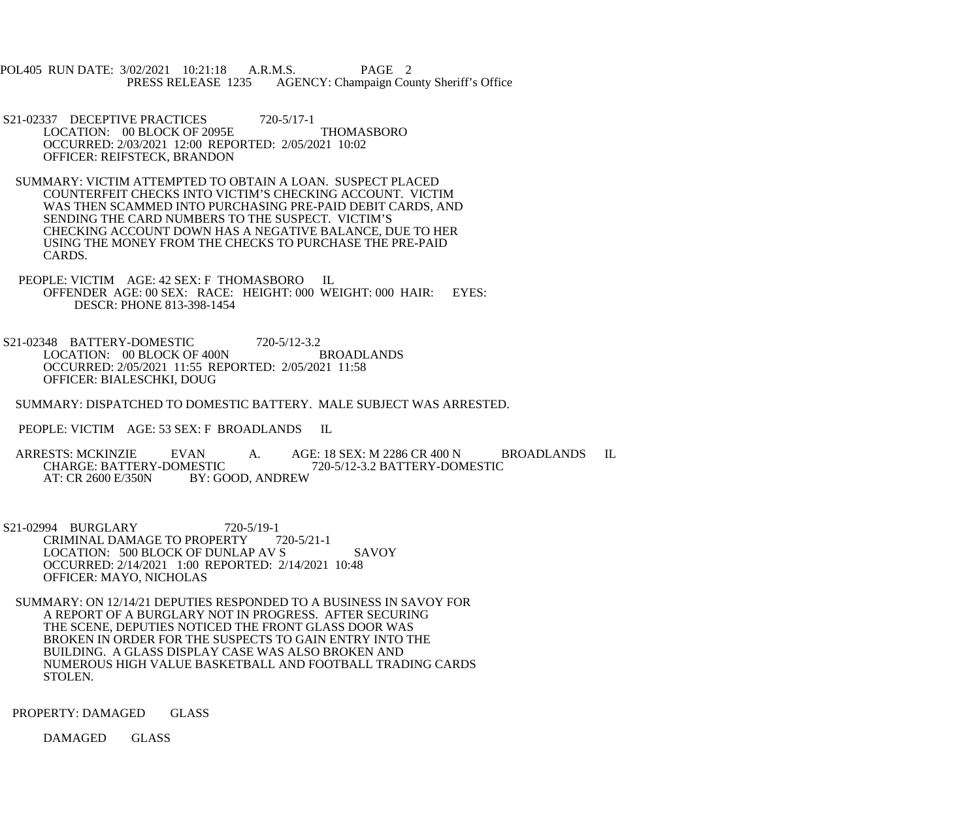POL405 RUN DATE: 3/02/2021 10:21:18 A.R.M.S. PAGE 2<br>PRESS RELEASE 1235 AGENCY: Champaign Cou AGENCY: Champaign County Sheriff's Office

S21-02337 DECEPTIVE PRACTICES 720-5/17-1 LOCATION: 00 BLOCK OF 2095E THOMASBORO OCCURRED: 2/03/2021 12:00 REPORTED: 2/05/2021 10:02 OFFICER: REIFSTECK, BRANDON

 SUMMARY: VICTIM ATTEMPTED TO OBTAIN A LOAN. SUSPECT PLACED COUNTERFEIT CHECKS INTO VICTIM'S CHECKING ACCOUNT. VICTIM WAS THEN SCAMMED INTO PURCHASING PRE-PAID DEBIT CARDS, AND SENDING THE CARD NUMBERS TO THE SUSPECT. VICTIM'S CHECKING ACCOUNT DOWN HAS A NEGATIVE BALANCE, DUE TO HER USING THE MONEY FROM THE CHECKS TO PURCHASE THE PRE-PAID CARDS.

PEOPLE: VICTIM AGE: 42 SEX: F THOMASBORO IL OFFENDER AGE: 00 SEX: RACE: HEIGHT: 000 WEIGHT: 000 HAIR: EYES: DESCR: PHONE 813-398-1454

 S21-02348 BATTERY-DOMESTIC 720-5/12-3.2 LOCATION: 00 BLOCK OF 400N BROADLANDS OCCURRED: 2/05/2021 11:55 REPORTED: 2/05/2021 11:58 OFFICER: BIALESCHKI, DOUG

SUMMARY: DISPATCHED TO DOMESTIC BATTERY. MALE SUBJECT WAS ARRESTED.

PEOPLE: VICTIM AGE: 53 SEX: F BROADLANDS IL

ARRESTS: MCKINZIE EVAN A. AGE: 18 SEX: M 2286 CR 400 N BROADLANDS IL<br>CHARGE: BATTERY-DOMESTIC 720-5/12-3.2 BATTERY-DOMESTIC CHARGE: BATTERY-DOMESTIC 720-5/12-3.2 BATTERY-DOMESTIC AT: CR 2600 E/350N BY: GOOD, ANDREW

- S21-02994 BURGLARY 720-5/19-1<br>CRIMINAL DAMAGE TO PROPERTY 720-5/21-1 CRIMINAL DAMAGE TO PROPERTY LOCATION: 500 BLOCK OF DUNLAP AV S SAVOY OCCURRED: 2/14/2021 1:00 REPORTED: 2/14/2021 10:48 OFFICER: MAYO, NICHOLAS
- SUMMARY: ON 12/14/21 DEPUTIES RESPONDED TO A BUSINESS IN SAVOY FOR A REPORT OF A BURGLARY NOT IN PROGRESS. AFTER SECURING THE SCENE, DEPUTIES NOTICED THE FRONT GLASS DOOR WAS BROKEN IN ORDER FOR THE SUSPECTS TO GAIN ENTRY INTO THE BUILDING. A GLASS DISPLAY CASE WAS ALSO BROKEN AND NUMEROUS HIGH VALUE BASKETBALL AND FOOTBALL TRADING CARDS STOLEN.

PROPERTY: DAMAGED GLASS

DAMAGED GLASS